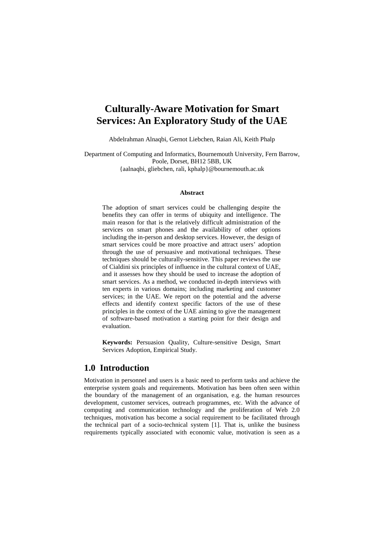# **Culturally-Aware Motivation for Smart Services: An Exploratory Study of the UAE**

Abdelrahman Alnaqbi, Gernot Liebchen, Raian Ali, Keith Phalp

Department of Computing and Informatics, Bournemouth University, Fern Barrow, Poole, Dorset, BH12 5BB, UK {aalnaqbi, gliebchen, rali, kphalp}@bournemouth.ac.uk

#### **Abstract**

The adoption of smart services could be challenging despite the benefits they can offer in terms of ubiquity and intelligence. The main reason for that is the relatively difficult administration of the services on smart phones and the availability of other options including the in-person and desktop services. However, the design of smart services could be more proactive and attract users' adoption through the use of persuasive and motivational techniques. These techniques should be culturally-sensitive. This paper reviews the use of Cialdini six principles of influence in the cultural context of UAE, and it assesses how they should be used to increase the adoption of smart services. As a method, we conducted in-depth interviews with ten experts in various domains; including marketing and customer services; in the UAE. We report on the potential and the adverse effects and identify context specific factors of the use of these principles in the context of the UAE aiming to give the management of software-based motivation a starting point for their design and evaluation.

**Keywords:** Persuasion Quality, Culture-sensitive Design, Smart Services Adoption, Empirical Study.

# **1.0 Introduction**

Motivation in personnel and users is a basic need to perform tasks and achieve the enterprise system goals and requirements. Motivation has been often seen within the boundary of the management of an organisation, e.g. the human resources development, customer services, outreach programmes, etc. With the advance of computing and communication technology and the proliferation of Web 2.0 techniques, motivation has become a social requirement to be facilitated through the technical part of a socio-technical system [1]. That is, unlike the business requirements typically associated with economic value, motivation is seen as a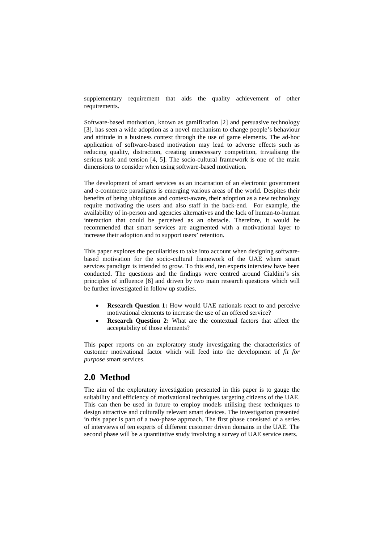supplementary requirement that aids the quality achievement of other requirements.

Software-based motivation, known as gamification [2] and persuasive technology [3], has seen a wide adoption as a novel mechanism to change people's behaviour and attitude in a business context through the use of game elements. The ad-hoc application of software-based motivation may lead to adverse effects such as reducing quality, distraction, creating unnecessary competition, trivialising the serious task and tension [4, 5]. The socio-cultural framework is one of the main dimensions to consider when using software-based motivation.

The development of smart services as an incarnation of an electronic government and e-commerce paradigms is emerging various areas of the world. Despites their benefits of being ubiquitous and context-aware, their adoption as a new technology require motivating the users and also staff in the back-end. For example, the availability of in-person and agencies alternatives and the lack of human-to-human interaction that could be perceived as an obstacle. Therefore, it would be recommended that smart services are augmented with a motivational layer to increase their adoption and to support users' retention.

This paper explores the peculiarities to take into account when designing softwarebased motivation for the socio-cultural framework of the UAE where smart services paradigm is intended to grow. To this end, ten experts interview have been conducted. The questions and the findings were centred around Cialdini's six principles of influence [6] and driven by two main research questions which will be further investigated in follow up studies.

- **Research Question 1:** How would UAE nationals react to and perceive motivational elements to increase the use of an offered service?
- **Research Question 2:** What are the contextual factors that affect the acceptability of those elements?

This paper reports on an exploratory study investigating the characteristics of customer motivational factor which will feed into the development of *fit for purpose* smart services.

# **2.0 Method**

The aim of the exploratory investigation presented in this paper is to gauge the suitability and efficiency of motivational techniques targeting citizens of the UAE. This can then be used in future to employ models utilising these techniques to design attractive and culturally relevant smart devices. The investigation presented in this paper is part of a two-phase approach. The first phase consisted of a series of interviews of ten experts of different customer driven domains in the UAE. The second phase will be a quantitative study involving a survey of UAE service users.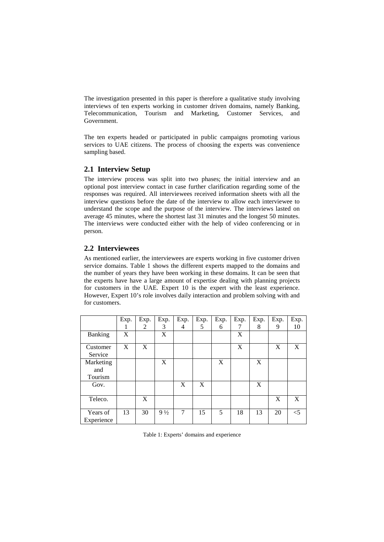The investigation presented in this paper is therefore a qualitative study involving interviews of ten experts working in customer driven domains, namely Banking, Telecommunication, Tourism and Marketing, Customer Services, and Government.

The ten experts headed or participated in public campaigns promoting various services to UAE citizens. The process of choosing the experts was convenience sampling based.

### **2.1 Interview Setup**

The interview process was split into two phases; the initial interview and an optional post interview contact in case further clarification regarding some of the responses was required. All interviewees received information sheets with all the interview questions before the date of the interview to allow each interviewee to understand the scope and the purpose of the interview. The interviews lasted on average 45 minutes, where the shortest last 31 minutes and the longest 50 minutes. The interviews were conducted either with the help of video conferencing or in person.

### **2.2 Interviewees**

As mentioned earlier, the interviewees are experts working in five customer driven service domains. Table 1 shows the different experts mapped to the domains and the number of years they have been working in these domains. It can be seen that the experts have have a large amount of expertise dealing with planning projects for customers in the UAE. Expert 10 is the expert with the least experience. However, Expert 10's role involves daily interaction and problem solving with and for customers.

|                             | Exp. | Exp.         | Exp.           | Exp. | Exp. | Exp. | Exp. | Exp. | Exp. | Exp.  |
|-----------------------------|------|--------------|----------------|------|------|------|------|------|------|-------|
|                             |      | 2            | 3              | 4    | 5    | 6    | 7    | 8    | 9    | 10    |
| Banking                     | X    |              | X              |      |      |      | X    |      |      |       |
| Customer<br>Service         | X    | $\mathbf{X}$ |                |      |      |      | X    |      | X    | X     |
| Marketing<br>and<br>Tourism |      |              | X              |      |      | X    |      | X    |      |       |
| Gov.                        |      |              |                | X    | X    |      |      | X    |      |       |
| Teleco.                     |      | X            |                |      |      |      |      |      | X    | X     |
| Years of<br>Experience      | 13   | 30           | $9\frac{1}{2}$ | 7    | 15   | 5    | 18   | 13   | 20   | $<$ 5 |

Table 1: Experts' domains and experience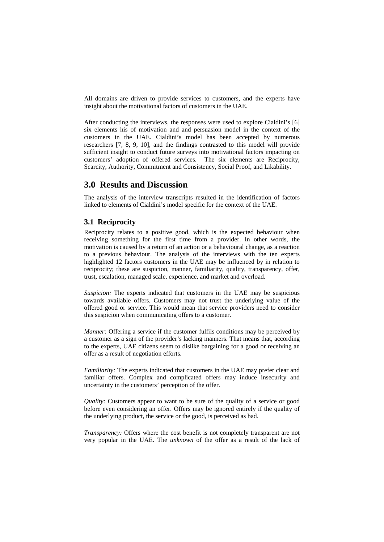All domains are driven to provide services to customers, and the experts have insight about the motivational factors of customers in the UAE.

After conducting the interviews, the responses were used to explore Cialdini's [6] six elements his of motivation and and persuasion model in the context of the customers in the UAE. Cialdini's model has been accepted by numerous researchers [7, 8, 9, 10], and the findings contrasted to this model will provide sufficient insight to conduct future surveys into motivational factors impacting on customers' adoption of offered services. The six elements are Reciprocity, Scarcity, Authority, Commitment and Consistency, Social Proof, and Likability.

### **3.0 Results and Discussion**

The analysis of the interview transcripts resulted in the identification of factors linked to elements of Cialdini's model specific for the context of the UAE.

#### **3.1 Reciprocity**

Reciprocity relates to a positive good, which is the expected behaviour when receiving something for the first time from a provider. In other words, the motivation is caused by a return of an action or a behavioural change, as a reaction to a previous behaviour. The analysis of the interviews with the ten experts highlighted 12 factors customers in the UAE may be influenced by in relation to reciprocity; these are suspicion, manner, familiarity, quality, transparency, offer, trust, escalation, managed scale, experience, and market and overload.

*Suspicion:* The experts indicated that customers in the UAE may be suspicious towards available offers. Customers may not trust the underlying value of the offered good or service. This would mean that service providers need to consider this suspicion when communicating offers to a customer.

*Manner:* Offering a service if the customer fulfils conditions may be perceived by a customer as a sign of the provider's lacking manners. That means that, according to the experts, UAE citizens seem to dislike bargaining for a good or receiving an offer as a result of negotiation efforts.

*Familiarity:* The experts indicated that customers in the UAE may prefer clear and familiar offers. Complex and complicated offers may induce insecurity and uncertainty in the customers' perception of the offer.

*Quality:* Customers appear to want to be sure of the quality of a service or good before even considering an offer. Offers may be ignored entirely if the quality of the underlying product, the service or the good, is perceived as bad.

*Transparency:* Offers where the cost benefit is not completely transparent are not very popular in the UAE. The *unknown* of the offer as a result of the lack of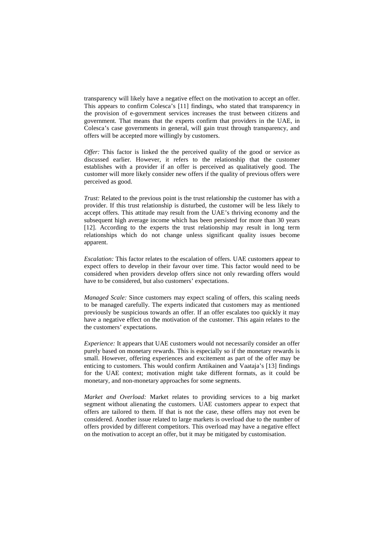transparency will likely have a negative effect on the motivation to accept an offer. This appears to confirm Colesca's [11] findings, who stated that transparency in the provision of e-government services increases the trust between citizens and government. That means that the experts confirm that providers in the UAE, in Colesca's case governments in general, will gain trust through transparency, and offers will be accepted more willingly by customers.

*Offer:* This factor is linked the the perceived quality of the good or service as discussed earlier. However, it refers to the relationship that the customer establishes with a provider if an offer is perceived as qualitatively good. The customer will more likely consider new offers if the quality of previous offers were perceived as good.

*Trust:* Related to the previous point is the trust relationship the customer has with a provider. If this trust relationship is disturbed, the customer will be less likely to accept offers. This attitude may result from the UAE's thriving economy and the subsequent high average income which has been persisted for more than 30 years [12]. According to the experts the trust relationship may result in long term relationships which do not change unless significant quality issues become apparent.

*Escalation:* This factor relates to the escalation of offers. UAE customers appear to expect offers to develop in their favour over time. This factor would need to be considered when providers develop offers since not only rewarding offers would have to be considered, but also customers' expectations.

*Managed Scale:* Since customers may expect scaling of offers, this scaling needs to be managed carefully. The experts indicated that customers may as mentioned previously be suspicious towards an offer. If an offer escalates too quickly it may have a negative effect on the motivation of the customer. This again relates to the the customers' expectations.

*Experience:* It appears that UAE customers would not necessarily consider an offer purely based on monetary rewards. This is especially so if the monetary rewards is small. However, offering experiences and excitement as part of the offer may be enticing to customers. This would confirm Antikainen and Vaataja's [13] findings for the UAE context; motivation might take different formats, as it could be monetary, and non-monetary approaches for some segments.

*Market and Overload:* Market relates to providing services to a big market segment without alienating the customers. UAE customers appear to expect that offers are tailored to them. If that is not the case, these offers may not even be considered. Another issue related to large markets is overload due to the number of offers provided by different competitors. This overload may have a negative effect on the motivation to accept an offer, but it may be mitigated by customisation.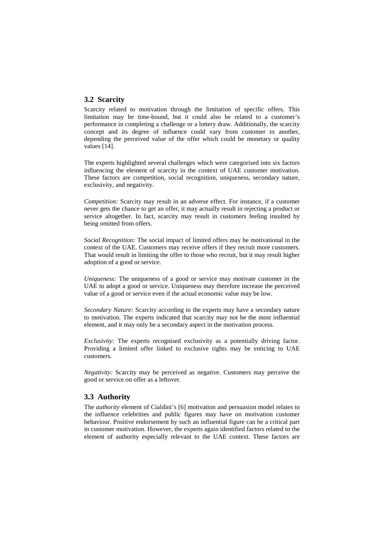#### **3.2 Scarcity**

Scarcity related to motivation through the limitation of specific offers. This limitation may be time-bound, but it could also be related to a customer's performance in completing a challenge or a lottery draw. Additionally, the scarcity concept and its degree of influence could vary from customer to another, depending the perceived value of the offer which could be monetary or quality values [14].

The experts highlighted several challenges which were categorised into six factors influencing the element of scarcity in the context of UAE customer motivation. These factors are competition, social recognition, uniqueness, secondary nature, exclusivity, and negativity.

*Competition:* Scarcity may result in an adverse effect. For instance, if a customer never gets the chance to get an offer, it may actually result in rejecting a product or service altogether. In fact, scarcity may result in customers feeling insulted by being omitted from offers.

*Social Recognition:* The social impact of limited offers may be motivational in the context of the UAE. Customers may receive offers if they recruit more customers. That would result in limiting the offer to those who recruit, but it may result higher adoption of a good or service.

*Uniqueness:* The uniqueness of a good or service may motivate customer in the UAE to adopt a good or service. Uniqueness may therefore increase the perceived value of a good or service even if the actual economic value may be low.

*Secondary Nature:* Scarcity according to the experts may have a secondary nature to motivation. The experts indicated that scarcity may not be the most influential element, and it may only be a secondary aspect in the motivation process.

*Exclusivity:* The experts recognised exclusivity as a potentially driving factor. Providing a limited offer linked to exclusive rights may be enticing to UAE customers.

*Negativity:* Scarcity may be perceived as negative. Customers may perceive the good or service on offer as a leftover.

#### **3.3 Authority**

The *authority* element of Cialdini's [6] motivation and persuasion model relates to the influence celebrities and public figures may have on motivation customer behaviour. Positive endorsement by such an influential figure can be a critical part in customer motivation. However, the experts again identified factors related to the element of authority especially relevant to the UAE context. These factors are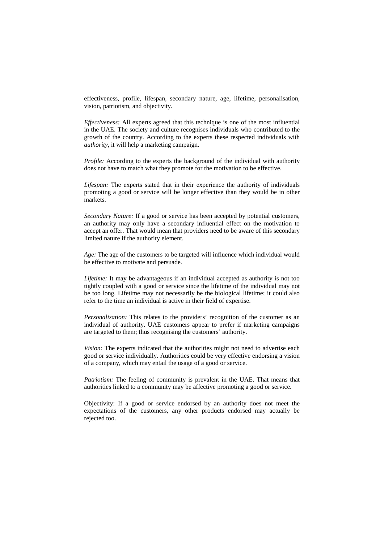effectiveness, profile, lifespan, secondary nature, age, lifetime, personalisation, vision, patriotism, and objectivity.

*Effectiveness:* All experts agreed that this technique is one of the most influential in the UAE. The society and culture recognises individuals who contributed to the growth of the country. According to the experts these respected individuals with *authority*, it will help a marketing campaign.

*Profile:* According to the experts the background of the individual with authority does not have to match what they promote for the motivation to be effective.

*Lifespan:* The experts stated that in their experience the authority of individuals promoting a good or service will be longer effective than they would be in other markets.

*Secondary Nature:* If a good or service has been accepted by potential customers, an authority may only have a secondary influential effect on the motivation to accept an offer. That would mean that providers need to be aware of this secondary limited nature if the authority element.

*Age:* The age of the customers to be targeted will influence which individual would be effective to motivate and persuade.

*Lifetime:* It may be advantageous if an individual accepted as authority is not too tightly coupled with a good or service since the lifetime of the individual may not be too long. Lifetime may not necessarily be the biological lifetime; it could also refer to the time an individual is active in their field of expertise.

*Personalisation:* This relates to the providers' recognition of the customer as an individual of authority. UAE customers appear to prefer if marketing campaigns are targeted to them; thus recognising the customers' authority.

*Vision:* The experts indicated that the authorities might not need to advertise each good or service individually. Authorities could be very effective endorsing a vision of a company, which may entail the usage of a good or service.

*Patriotism:* The feeling of community is prevalent in the UAE. That means that authorities linked to a community may be affective promoting a good or service.

Objectivity: If a good or service endorsed by an authority does not meet the expectations of the customers, any other products endorsed may actually be rejected too.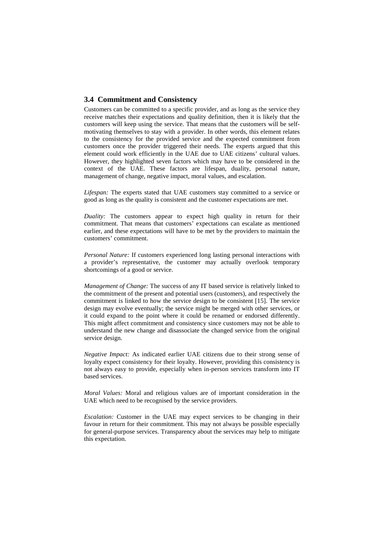#### **3.4 Commitment and Consistency**

Customers can be committed to a specific provider, and as long as the service they receive matches their expectations and quality definition, then it is likely that the customers will keep using the service. That means that the customers will be selfmotivating themselves to stay with a provider. In other words, this element relates to the consistency for the provided service and the expected commitment from customers once the provider triggered their needs. The experts argued that this element could work efficiently in the UAE due to UAE citizens' cultural values. However, they highlighted seven factors which may have to be considered in the context of the UAE. These factors are lifespan, duality, personal nature, management of change, negative impact, moral values, and escalation.

*Lifespan:* The experts stated that UAE customers stay committed to a service or good as long as the quality is consistent and the customer expectations are met.

*Duality:* The customers appear to expect high quality in return for their commitment. That means that customers' expectations can escalate as mentioned earlier, and these expectations will have to be met by the providers to maintain the customers' commitment.

*Personal Nature:* If customers experienced long lasting personal interactions with a provider's representative, the customer may actually overlook temporary shortcomings of a good or service.

*Management of Change:* The success of any IT based service is relatively linked to the commitment of the present and potential users (customers), and respectively the commitment is linked to how the service design to be consistent [15]. The service design may evolve eventually; the service might be merged with other services, or it could expand to the point where it could be renamed or endorsed differently. This might affect commitment and consistency since customers may not be able to understand the new change and disassociate the changed service from the original service design.

*Negative Impact:* As indicated earlier UAE citizens due to their strong sense of loyalty expect consistency for their loyalty. However, providing this consistency is not always easy to provide, especially when in-person services transform into IT based services.

*Moral Values:* Moral and religious values are of important consideration in the UAE which need to be recognised by the service providers.

*Escalation:* Customer in the UAE may expect services to be changing in their favour in return for their commitment. This may not always be possible especially for general-purpose services. Transparency about the services may help to mitigate this expectation.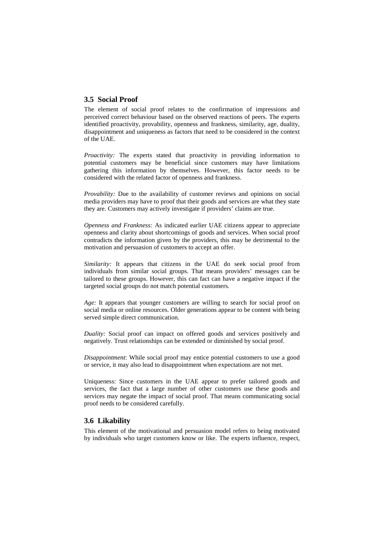#### **3.5 Social Proof**

The element of social proof relates to the confirmation of impressions and perceived correct behaviour based on the observed reactions of peers. The experts identified proactivity, provability, openness and frankness, similarity, age, duality, disappointment and uniqueness as factors that need to be considered in the context of the UAE.

*Proactivity:* The experts stated that proactivity in providing information to potential customers may be beneficial since customers may have limitations gathering this information by themselves. However, this factor needs to be considered with the related factor of openness and frankness.

*Provability:* Due to the availability of customer reviews and opinions on social media providers may have to proof that their goods and services are what they state they are. Customers may actively investigate if providers' claims are true.

*Openness and Frankness:* As indicated earlier UAE citizens appear to appreciate openness and clarity about shortcomings of goods and services. When social proof contradicts the information given by the providers, this may be detrimental to the motivation and persuasion of customers to accept an offer.

*Similarity:* It appears that citizens in the UAE do seek social proof from individuals from similar social groups. That means providers' messages can be tailored to these groups. However, this can fact can have a negative impact if the targeted social groups do not match potential customers.

*Age:* It appears that younger customers are willing to search for social proof on social media or online resources. Older generations appear to be content with being served simple direct communication.

*Duality:* Social proof can impact on offered goods and services positively and negatively. Trust relationships can be extended or diminished by social proof.

*Disappointment*: While social proof may entice potential customers to use a good or service, it may also lead to disappointment when expectations are not met.

Uniqueness: Since customers in the UAE appear to prefer tailored goods and services, the fact that a large number of other customers use these goods and services may negate the impact of social proof. That means communicating social proof needs to be considered carefully.

#### **3.6 Likability**

This element of the motivational and persuasion model refers to being motivated by individuals who target customers know or like. The experts influence, respect,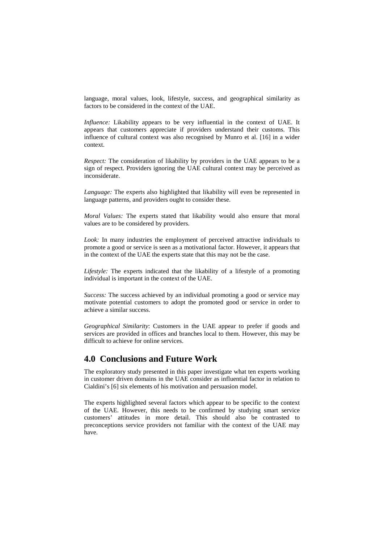language, moral values, look, lifestyle, success, and geographical similarity as factors to be considered in the context of the UAE.

*Influence:* Likability appears to be very influential in the context of UAE. It appears that customers appreciate if providers understand their customs. This influence of cultural context was also recognised by Munro et al. [16] in a wider context.

*Respect:* The consideration of likability by providers in the UAE appears to be a sign of respect. Providers ignoring the UAE cultural context may be perceived as inconsiderate.

*Language:* The experts also highlighted that likability will even be represented in language patterns, and providers ought to consider these.

*Moral Values:* The experts stated that likability would also ensure that moral values are to be considered by providers.

*Look:* In many industries the employment of perceived attractive individuals to promote a good or service is seen as a motivational factor. However, it appears that in the context of the UAE the experts state that this may not be the case.

*Lifestyle:* The experts indicated that the likability of a lifestyle of a promoting individual is important in the context of the UAE.

*Success:* The success achieved by an individual promoting a good or service may motivate potential customers to adopt the promoted good or service in order to achieve a similar success.

*Geographical Similarity*: Customers in the UAE appear to prefer if goods and services are provided in offices and branches local to them. However, this may be difficult to achieve for online services.

# **4.0 Conclusions and Future Work**

The exploratory study presented in this paper investigate what ten experts working in customer driven domains in the UAE consider as influential factor in relation to Cialdini's [6] six elements of his motivation and persuasion model.

The experts highlighted several factors which appear to be specific to the context of the UAE. However, this needs to be confirmed by studying smart service customers' attitudes in more detail. This should also be contrasted to preconceptions service providers not familiar with the context of the UAE may have.